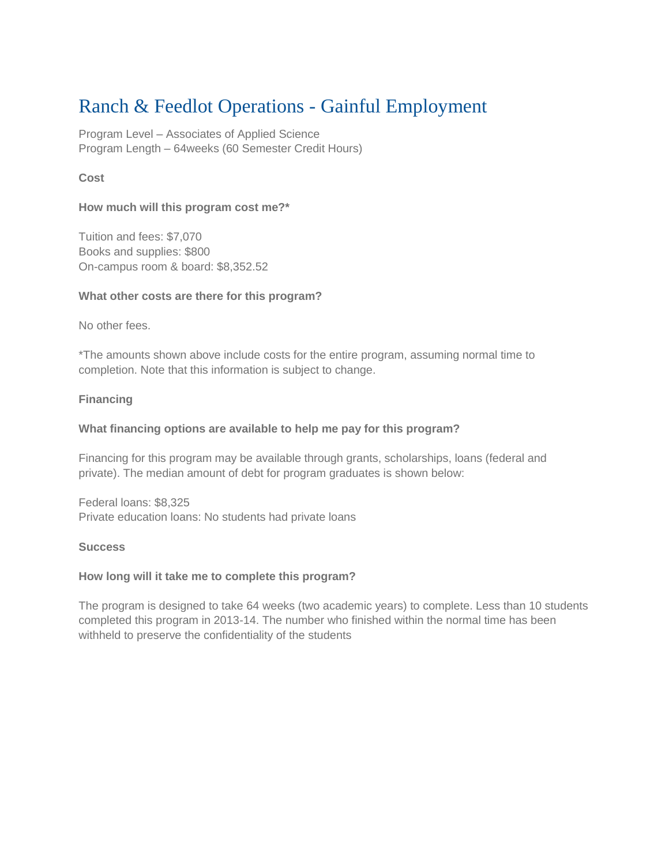# Ranch & Feedlot Operations - Gainful Employment

Program Level – Associates of Applied Science Program Length – 64weeks (60 Semester Credit Hours)

## **Cost**

## **How much will this program cost me?\***

Tuition and fees: \$7,070 Books and supplies: \$800 On-campus room & board: \$8,352.52

### **What other costs are there for this program?**

No other fees.

\*The amounts shown above include costs for the entire program, assuming normal time to completion. Note that this information is subject to change.

## **Financing**

## **What financing options are available to help me pay for this program?**

Financing for this program may be available through grants, scholarships, loans (federal and private). The median amount of debt for program graduates is shown below:

Federal loans: \$8,325 Private education loans: No students had private loans

### **Success**

### **How long will it take me to complete this program?**

The program is designed to take 64 weeks (two academic years) to complete. Less than 10 students completed this program in 2013-14. The number who finished within the normal time has been withheld to preserve the confidentiality of the students